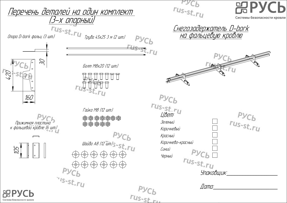**PACP**  $rus-st.ru$ Перечень деталей на один комплект Системы безопасности кровли (3-х <u>опорныи</u>) Опора D-bork фальц (3 шт.)<br>Опора D-bork фальц (3 шт.) <u>Снегозадержатель D-bork</u> на фальцевую кровлю  $Pyc<sub>b</sub>$ Болт.)  $\frac{r_{us-st,r_u}}{r_{us-st}}$  $\approx$ Болт М8х20 (12 шт.) 420  $Pyc_b$ 160 rus-st.ru Гайка М8 (12 шт.)  $rus<sub>-st,ru</sub>$ Зеленый Прижимная пластина <sup>к</sup> фальцевой кровле (6 шт.) Коричневый  $Pyc_b$ Красный Шайба А8 (12 шт.) S - St. Г.Ц Коричнево-красный 105 Синий  $Pyc_b$ Черный Черный rus-st.ru<br>Упаковщик:  $P<sub>l</sub>$  $\frac{L}{15 \cdot 5t}$  $\Box$  $rus<sub>-st</sub>$ Системы безопасности кровл